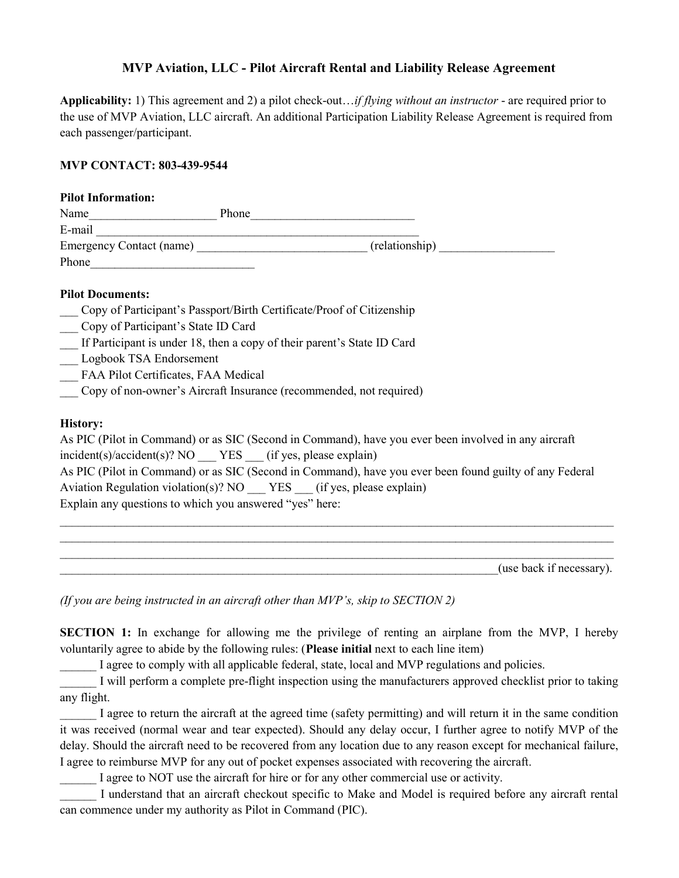# MVP Aviation, LLC - Pilot Aircraft Rental and Liability Release Agreement

Applicability: 1) This agreement and 2) a pilot check-out... if flying without an instructor - are required prior to the use of MVP Aviation, LLC aircraft. An additional Participation Liability Release Agreement is required from each passenger/participant.

## MVP CONTACT: 803-439-9544

| <b>Pilot Information:</b>       |       |                |
|---------------------------------|-------|----------------|
| Name                            | Phone |                |
| E-mail                          |       |                |
| <b>Emergency Contact (name)</b> |       | (relationship) |
| Phone                           |       |                |
|                                 |       |                |

## Pilot Documents:

|  |  | Copy of Participant's Passport/Birth Certificate/Proof of Citizenship |
|--|--|-----------------------------------------------------------------------|
|  |  |                                                                       |

- \_\_\_ Copy of Participant's State ID Card
- If Participant is under 18, then a copy of their parent's State ID Card
- \_\_\_ Logbook TSA Endorsement
- FAA Pilot Certificates, FAA Medical
- \_\_\_ Copy of non-owner's Aircraft Insurance (recommended, not required)

## History:

| As PIC (Pilot in Command) or as SIC (Second in Command), have you ever been involved in any aircraft    |  |  |  |  |
|---------------------------------------------------------------------------------------------------------|--|--|--|--|
| incident(s)/accident(s)? NO YES (if yes, please explain)                                                |  |  |  |  |
| As PIC (Pilot in Command) or as SIC (Second in Command), have you ever been found guilty of any Federal |  |  |  |  |
| Aviation Regulation violation(s)? NO $YES$ (if yes, please explain)                                     |  |  |  |  |
| Explain any questions to which you answered "yes" here:                                                 |  |  |  |  |

 $\mathcal{L}_\mathcal{L} = \mathcal{L}_\mathcal{L} = \mathcal{L}_\mathcal{L} = \mathcal{L}_\mathcal{L} = \mathcal{L}_\mathcal{L} = \mathcal{L}_\mathcal{L} = \mathcal{L}_\mathcal{L} = \mathcal{L}_\mathcal{L} = \mathcal{L}_\mathcal{L} = \mathcal{L}_\mathcal{L} = \mathcal{L}_\mathcal{L} = \mathcal{L}_\mathcal{L} = \mathcal{L}_\mathcal{L} = \mathcal{L}_\mathcal{L} = \mathcal{L}_\mathcal{L} = \mathcal{L}_\mathcal{L} = \mathcal{L}_\mathcal{L}$  $\mathcal{L}_\mathcal{L} = \mathcal{L}_\mathcal{L} = \mathcal{L}_\mathcal{L} = \mathcal{L}_\mathcal{L} = \mathcal{L}_\mathcal{L} = \mathcal{L}_\mathcal{L} = \mathcal{L}_\mathcal{L} = \mathcal{L}_\mathcal{L} = \mathcal{L}_\mathcal{L} = \mathcal{L}_\mathcal{L} = \mathcal{L}_\mathcal{L} = \mathcal{L}_\mathcal{L} = \mathcal{L}_\mathcal{L} = \mathcal{L}_\mathcal{L} = \mathcal{L}_\mathcal{L} = \mathcal{L}_\mathcal{L} = \mathcal{L}_\mathcal{L}$  $\mathcal{L}_\mathcal{L} = \mathcal{L}_\mathcal{L} = \mathcal{L}_\mathcal{L} = \mathcal{L}_\mathcal{L} = \mathcal{L}_\mathcal{L} = \mathcal{L}_\mathcal{L} = \mathcal{L}_\mathcal{L} = \mathcal{L}_\mathcal{L} = \mathcal{L}_\mathcal{L} = \mathcal{L}_\mathcal{L} = \mathcal{L}_\mathcal{L} = \mathcal{L}_\mathcal{L} = \mathcal{L}_\mathcal{L} = \mathcal{L}_\mathcal{L} = \mathcal{L}_\mathcal{L} = \mathcal{L}_\mathcal{L} = \mathcal{L}_\mathcal{L}$ 

\_\_\_\_\_\_\_\_\_\_\_\_\_\_\_\_\_\_\_\_\_\_\_\_\_\_\_\_\_\_\_\_\_\_\_\_\_\_\_\_\_\_\_\_\_\_\_\_\_\_\_\_\_\_\_\_\_\_\_\_\_\_\_\_\_\_\_\_\_\_\_\_(use back if necessary).

(If you are being instructed in an aircraft other than MVP's, skip to SECTION 2)

SECTION 1: In exchange for allowing me the privilege of renting an airplane from the MVP, I hereby voluntarily agree to abide by the following rules: (Please initial next to each line item)

I agree to comply with all applicable federal, state, local and MVP regulations and policies.

I will perform a complete pre-flight inspection using the manufacturers approved checklist prior to taking any flight.

\_\_\_\_\_\_ I agree to return the aircraft at the agreed time (safety permitting) and will return it in the same condition it was received (normal wear and tear expected). Should any delay occur, I further agree to notify MVP of the delay. Should the aircraft need to be recovered from any location due to any reason except for mechanical failure, I agree to reimburse MVP for any out of pocket expenses associated with recovering the aircraft.

I agree to NOT use the aircraft for hire or for any other commercial use or activity.

I understand that an aircraft checkout specific to Make and Model is required before any aircraft rental can commence under my authority as Pilot in Command (PIC).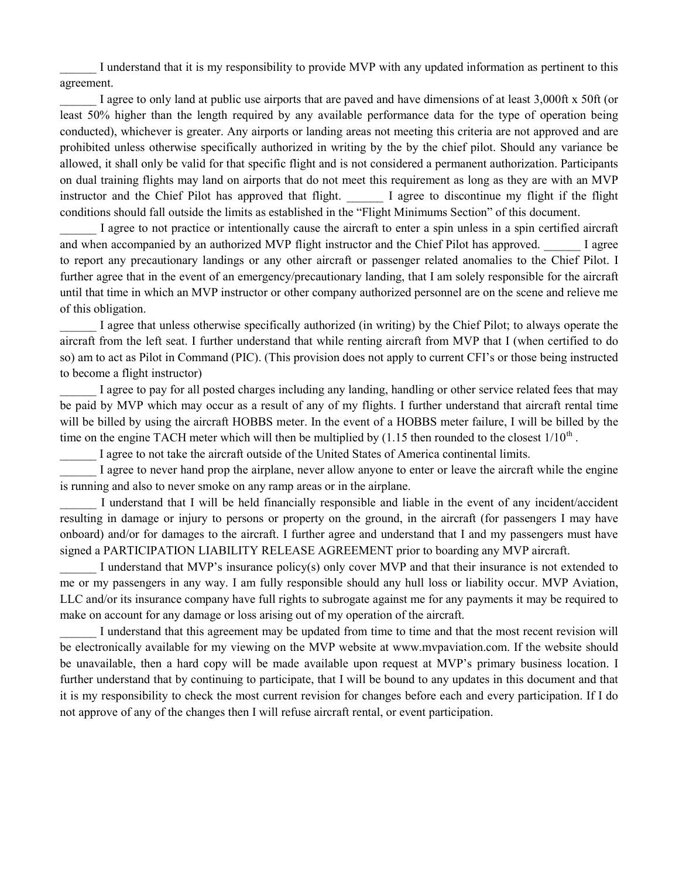I understand that it is my responsibility to provide MVP with any updated information as pertinent to this agreement.

I agree to only land at public use airports that are paved and have dimensions of at least 3,000ft x 50ft (or least 50% higher than the length required by any available performance data for the type of operation being conducted), whichever is greater. Any airports or landing areas not meeting this criteria are not approved and are prohibited unless otherwise specifically authorized in writing by the by the chief pilot. Should any variance be allowed, it shall only be valid for that specific flight and is not considered a permanent authorization. Participants on dual training flights may land on airports that do not meet this requirement as long as they are with an MVP instructor and the Chief Pilot has approved that flight. I agree to discontinue my flight if the flight conditions should fall outside the limits as established in the "Flight Minimums Section" of this document.

I agree to not practice or intentionally cause the aircraft to enter a spin unless in a spin certified aircraft and when accompanied by an authorized MVP flight instructor and the Chief Pilot has approved.  $\Box$  I agree to report any precautionary landings or any other aircraft or passenger related anomalies to the Chief Pilot. I further agree that in the event of an emergency/precautionary landing, that I am solely responsible for the aircraft until that time in which an MVP instructor or other company authorized personnel are on the scene and relieve me of this obligation.

I agree that unless otherwise specifically authorized (in writing) by the Chief Pilot; to always operate the aircraft from the left seat. I further understand that while renting aircraft from MVP that I (when certified to do so) am to act as Pilot in Command (PIC). (This provision does not apply to current CFI's or those being instructed to become a flight instructor)

I agree to pay for all posted charges including any landing, handling or other service related fees that may be paid by MVP which may occur as a result of any of my flights. I further understand that aircraft rental time will be billed by using the aircraft HOBBS meter. In the event of a HOBBS meter failure, I will be billed by the time on the engine TACH meter which will then be multiplied by  $(1.15$  then rounded to the closest  $1/10^{th}$ .

I agree to not take the aircraft outside of the United States of America continental limits.

I agree to never hand prop the airplane, never allow anyone to enter or leave the aircraft while the engine is running and also to never smoke on any ramp areas or in the airplane.

I understand that I will be held financially responsible and liable in the event of any incident/accident resulting in damage or injury to persons or property on the ground, in the aircraft (for passengers I may have onboard) and/or for damages to the aircraft. I further agree and understand that I and my passengers must have signed a PARTICIPATION LIABILITY RELEASE AGREEMENT prior to boarding any MVP aircraft.

I understand that MVP's insurance policy(s) only cover MVP and that their insurance is not extended to me or my passengers in any way. I am fully responsible should any hull loss or liability occur. MVP Aviation, LLC and/or its insurance company have full rights to subrogate against me for any payments it may be required to make on account for any damage or loss arising out of my operation of the aircraft.

I understand that this agreement may be updated from time to time and that the most recent revision will be electronically available for my viewing on the MVP website at www.mvpaviation.com. If the website should be unavailable, then a hard copy will be made available upon request at MVP's primary business location. I further understand that by continuing to participate, that I will be bound to any updates in this document and that it is my responsibility to check the most current revision for changes before each and every participation. If I do not approve of any of the changes then I will refuse aircraft rental, or event participation.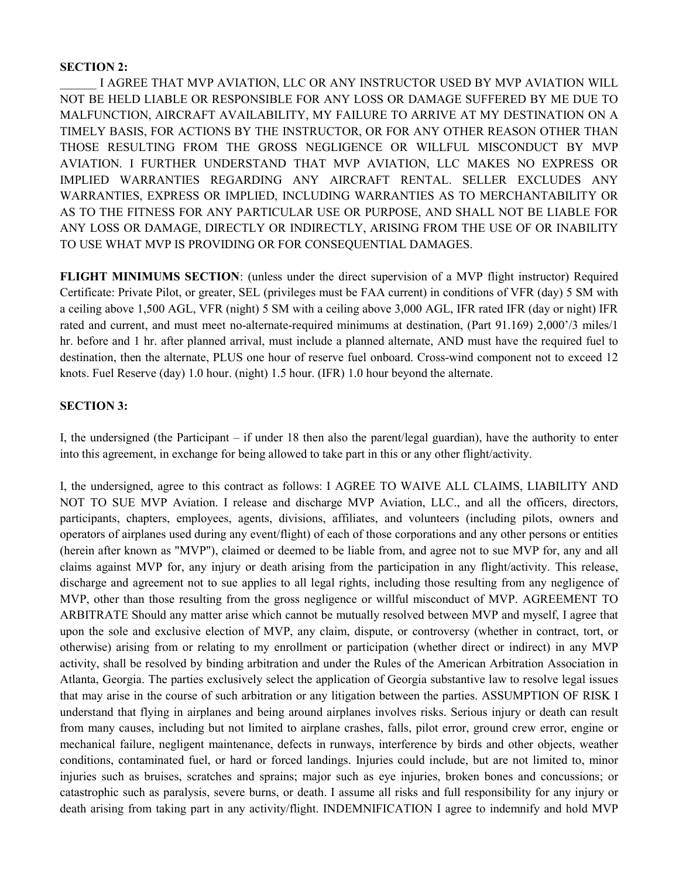#### SECTION 2:

\_\_\_\_\_\_ I AGREE THAT MVP AVIATION, LLC OR ANY INSTRUCTOR USED BY MVP AVIATION WILL NOT BE HELD LIABLE OR RESPONSIBLE FOR ANY LOSS OR DAMAGE SUFFERED BY ME DUE TO MALFUNCTION, AIRCRAFT AVAILABILITY, MY FAILURE TO ARRIVE AT MY DESTINATION ON A TIMELY BASIS, FOR ACTIONS BY THE INSTRUCTOR, OR FOR ANY OTHER REASON OTHER THAN THOSE RESULTING FROM THE GROSS NEGLIGENCE OR WILLFUL MISCONDUCT BY MVP AVIATION. I FURTHER UNDERSTAND THAT MVP AVIATION, LLC MAKES NO EXPRESS OR IMPLIED WARRANTIES REGARDING ANY AIRCRAFT RENTAL. SELLER EXCLUDES ANY WARRANTIES, EXPRESS OR IMPLIED, INCLUDING WARRANTIES AS TO MERCHANTABILITY OR AS TO THE FITNESS FOR ANY PARTICULAR USE OR PURPOSE, AND SHALL NOT BE LIABLE FOR ANY LOSS OR DAMAGE, DIRECTLY OR INDIRECTLY, ARISING FROM THE USE OF OR INABILITY TO USE WHAT MVP IS PROVIDING OR FOR CONSEQUENTIAL DAMAGES.

FLIGHT MINIMUMS SECTION: (unless under the direct supervision of a MVP flight instructor) Required Certificate: Private Pilot, or greater, SEL (privileges must be FAA current) in conditions of VFR (day) 5 SM with a ceiling above 1,500 AGL, VFR (night) 5 SM with a ceiling above 3,000 AGL, IFR rated IFR (day or night) IFR rated and current, and must meet no-alternate-required minimums at destination, (Part 91.169) 2,000'/3 miles/1 hr. before and 1 hr. after planned arrival, must include a planned alternate, AND must have the required fuel to destination, then the alternate, PLUS one hour of reserve fuel onboard. Cross-wind component not to exceed 12 knots. Fuel Reserve (day) 1.0 hour. (night) 1.5 hour. (IFR) 1.0 hour beyond the alternate.

#### SECTION 3:

I, the undersigned (the Participant – if under 18 then also the parent/legal guardian), have the authority to enter into this agreement, in exchange for being allowed to take part in this or any other flight/activity.

I, the undersigned, agree to this contract as follows: I AGREE TO WAIVE ALL CLAIMS, LIABILITY AND NOT TO SUE MVP Aviation. I release and discharge MVP Aviation, LLC., and all the officers, directors, participants, chapters, employees, agents, divisions, affiliates, and volunteers (including pilots, owners and operators of airplanes used during any event/flight) of each of those corporations and any other persons or entities (herein after known as "MVP"), claimed or deemed to be liable from, and agree not to sue MVP for, any and all claims against MVP for, any injury or death arising from the participation in any flight/activity. This release, discharge and agreement not to sue applies to all legal rights, including those resulting from any negligence of MVP, other than those resulting from the gross negligence or willful misconduct of MVP. AGREEMENT TO ARBITRATE Should any matter arise which cannot be mutually resolved between MVP and myself, I agree that upon the sole and exclusive election of MVP, any claim, dispute, or controversy (whether in contract, tort, or otherwise) arising from or relating to my enrollment or participation (whether direct or indirect) in any MVP activity, shall be resolved by binding arbitration and under the Rules of the American Arbitration Association in Atlanta, Georgia. The parties exclusively select the application of Georgia substantive law to resolve legal issues that may arise in the course of such arbitration or any litigation between the parties. ASSUMPTION OF RISK I understand that flying in airplanes and being around airplanes involves risks. Serious injury or death can result from many causes, including but not limited to airplane crashes, falls, pilot error, ground crew error, engine or mechanical failure, negligent maintenance, defects in runways, interference by birds and other objects, weather conditions, contaminated fuel, or hard or forced landings. Injuries could include, but are not limited to, minor injuries such as bruises, scratches and sprains; major such as eye injuries, broken bones and concussions; or catastrophic such as paralysis, severe burns, or death. I assume all risks and full responsibility for any injury or death arising from taking part in any activity/flight. INDEMNIFICATION I agree to indemnify and hold MVP